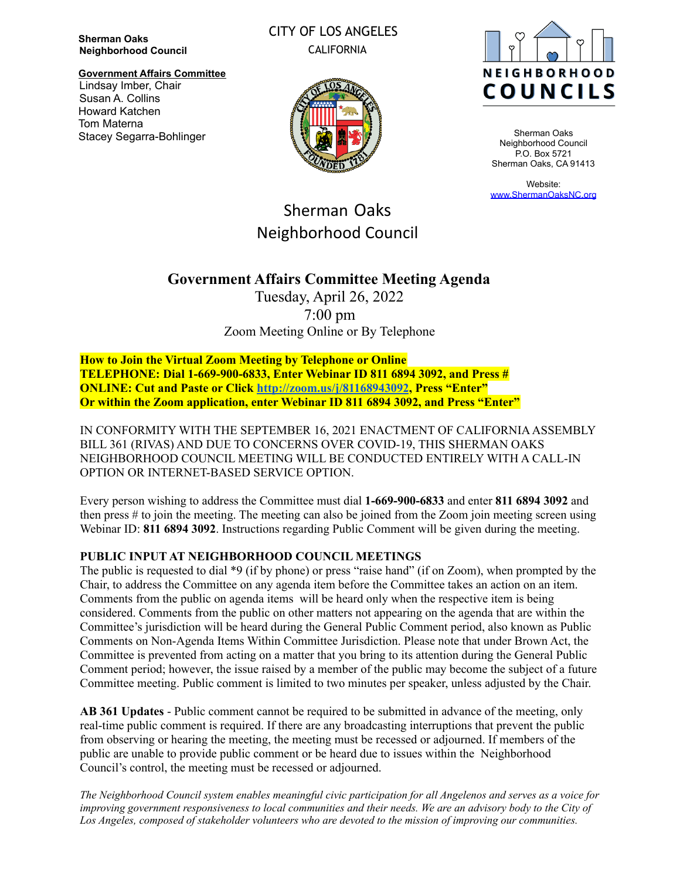**Sherman Oaks Neighborhood Council**

**Government Affairs Committee** Lindsay Imber, Chair Susan A. Collins Howard Katchen Tom Materna Stacey Segarra-Bohlinger

### CITY OF LOS ANGELES CALIFORNIA





Sherman Oaks Neighborhood Council P.O. Box 5721 Sherman Oaks, CA 91413

Website: [www.ShermanOaksNC.org](http://www.shermanoaksnc.org)

# Sherman Oaks Neighborhood Council

## **Government Affairs Committee Meeting Agenda**

Tuesday, April 26, 2022 7:00 pm Zoom Meeting Online or By Telephone

**How to Join the Virtual Zoom Meeting by Telephone or Online TELEPHONE: Dial 1-669-900-6833, Enter Webinar ID 811 6894 3092, and Press # ONLINE: Cut and Paste or Click <http://zoom.us/j/81168943092>, Press "Enter" Or within the Zoom application, enter Webinar ID 811 6894 3092, and Press "Enter"**

IN CONFORMITY WITH THE SEPTEMBER 16, 2021 ENACTMENT OF CALIFORNIAASSEMBLY BILL 361 (RIVAS) AND DUE TO CONCERNS OVER COVID-19, THIS SHERMAN OAKS NEIGHBORHOOD COUNCIL MEETING WILL BE CONDUCTED ENTIRELY WITH A CALL-IN OPTION OR INTERNET-BASED SERVICE OPTION.

Every person wishing to address the Committee must dial **1-669-900-6833** and enter **811 6894 3092** and then press # to join the meeting. The meeting can also be joined from the Zoom join meeting screen using Webinar ID: **811 6894 3092**. Instructions regarding Public Comment will be given during the meeting.

#### **PUBLIC INPUT AT NEIGHBORHOOD COUNCIL MEETINGS**

The public is requested to dial \*9 (if by phone) or press "raise hand" (if on Zoom), when prompted by the Chair, to address the Committee on any agenda item before the Committee takes an action on an item. Comments from the public on agenda items will be heard only when the respective item is being considered. Comments from the public on other matters not appearing on the agenda that are within the Committee's jurisdiction will be heard during the General Public Comment period, also known as Public Comments on Non-Agenda Items Within Committee Jurisdiction. Please note that under Brown Act, the Committee is prevented from acting on a matter that you bring to its attention during the General Public Comment period; however, the issue raised by a member of the public may become the subject of a future Committee meeting. Public comment is limited to two minutes per speaker, unless adjusted by the Chair.

**AB 361 Updates** - Public comment cannot be required to be submitted in advance of the meeting, only real-time public comment is required. If there are any broadcasting interruptions that prevent the public from observing or hearing the meeting, the meeting must be recessed or adjourned. If members of the public are unable to provide public comment or be heard due to issues within the Neighborhood Council's control, the meeting must be recessed or adjourned.

The Neighborhood Council system enables meaningful civic participation for all Angelenos and serves as a voice for improving government responsiveness to local communities and their needs. We are an advisory body to the City of *Los Angeles, composed of stakeholder volunteers who are devoted to the mission of improving our communities.*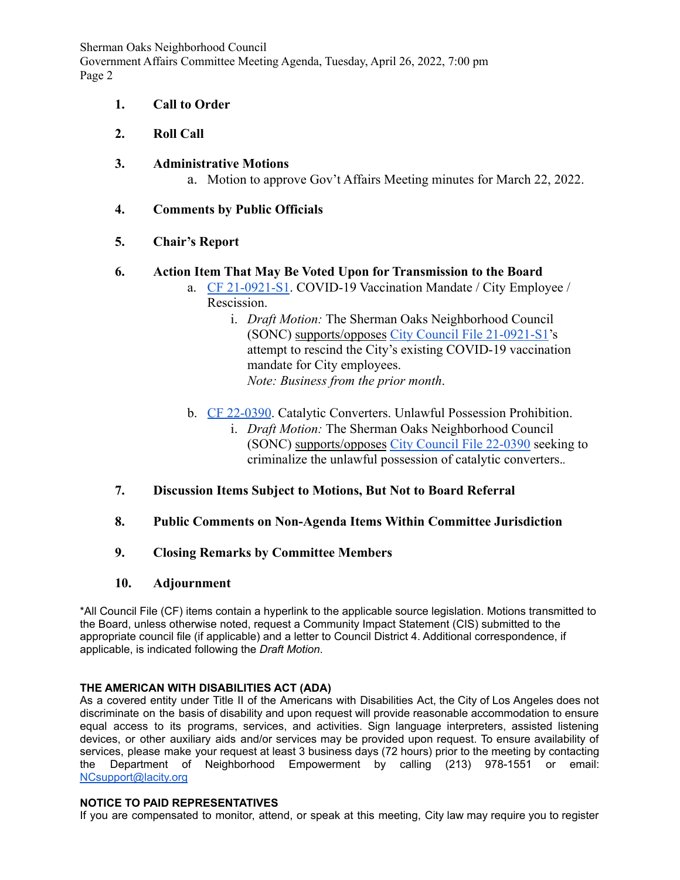Sherman Oaks Neighborhood Council Government Affairs Committee Meeting Agenda, Tuesday, April 26, 2022, 7:00 pm Page 2

- **1. Call to Order**
- **2. Roll Call**
- **3. Administrative Motions**
	- a. Motion to approve Gov't Affairs Meeting minutes for March 22, 2022.
- **4. Comments by Public Officials**
- **5. Chair's Report**

#### **6. Action Item That May Be Voted Upon for Transmission to the Board**

- a. [CF 21-0921-S1](https://cityclerk.lacity.org/lacityclerkconnect/index.cfm?fa=ccfi.viewrecord&cfnumber=21-0921-S1). COVID-19 Vaccination Mandate / City Employee / Rescission.
	- i. *Draft Motion:* The Sherman Oaks Neighborhood Council (SONC) supports/opposes [City Council File 21-0921-S1](https://cityclerk.lacity.org/lacityclerkconnect/index.cfm?fa=ccfi.viewrecord&cfnumber=21-0921-S1)'s attempt to rescind the City's existing COVID-19 vaccination mandate for City employees. *Note: Business from the prior month*.
- b. [CF 22-0390](https://cityclerk.lacity.org/lacityclerkconnect/index.cfm?fa=ccfi.viewrecord&cfnumber=22-0390). Catalytic Converters. Unlawful Possession Prohibition.
	- i. *Draft Motion:* The Sherman Oaks Neighborhood Council (SONC) supports/opposes [City Council File 22-0390](https://cityclerk.lacity.org/lacityclerkconnect/index.cfm?fa=ccfi.viewrecord&cfnumber=22-0390) seeking to criminalize the unlawful possession of catalytic converters.*.*
- **7. Discussion Items Subject to Motions, But Not to Board Referral**
- **8. Public Comments on Non-Agenda Items Within Committee Jurisdiction**
- **9. Closing Remarks by Committee Members**
- **10. Adjournment**

\*All Council File (CF) items contain a hyperlink to the applicable source legislation. Motions transmitted to the Board, unless otherwise noted, request a Community Impact Statement (CIS) submitted to the appropriate council file (if applicable) and a letter to Council District 4. Additional correspondence, if applicable, is indicated following the *Draft Motion*.

#### **THE AMERICAN WITH DISABILITIES ACT (ADA)**

As a covered entity under Title II of the Americans with Disabilities Act, the City of Los Angeles does not discriminate on the basis of disability and upon request will provide reasonable accommodation to ensure equal access to its programs, services, and activities. Sign language interpreters, assisted listening devices, or other auxiliary aids and/or services may be provided upon request. To ensure availability of services, please make your request at least 3 business days (72 hours) prior to the meeting by contacting the Department of Neighborhood Empowerment by calling (213) 978-1551 or email: [NCsupport@lacity.org](mailto:NCsupport@lacity.org)

#### **NOTICE TO PAID REPRESENTATIVES**

If you are compensated to monitor, attend, or speak at this meeting, City law may require you to register